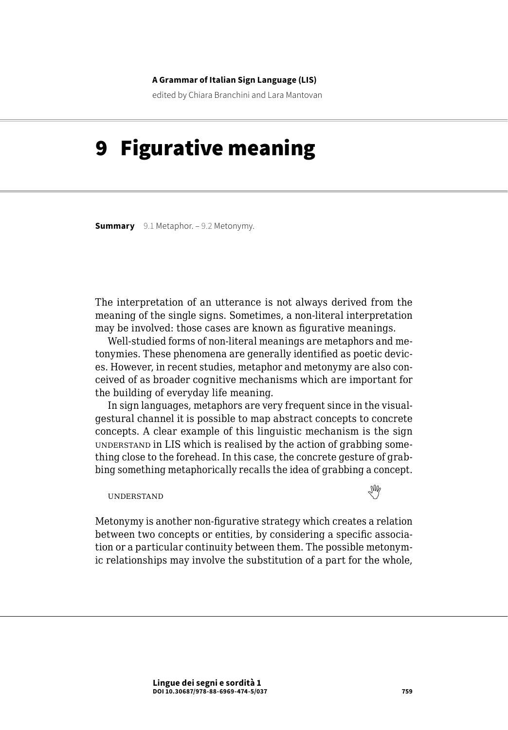#### **A Grammar of Italian Sign Language (LIS)**

edited by Chiara Branchini and Lara Mantovan

# 9 Figurative meaning

**Summary** [9.1 Metaphor](#page-1-0). – [9.2 Metonymy.](#page-5-0)

The interpretation of an utterance is not always derived from the meaning of the single signs. Sometimes, a non-literal interpretation may be involved: those cases are known as figurative meanings.

Well-studied forms of non-literal meanings are metaphors and metonymies. These phenomena are generally identified as poetic devices. However, in recent studies, metaphor and metonymy are also conceived of as broader cognitive mechanisms which are important for the building of everyday life meaning.

In sign languages, metaphors are very frequent since in the visualgestural channel it is possible to map abstract concepts to concrete concepts. A clear example of this linguistic mechanism is the sign understand in LIS which is realised by the action of grabbing something close to the forehead. In this case, the concrete gesture of grabbing something metaphorically recalls the idea of grabbing a concept.

understandthe control of the control of the control of the control of the control of the control of the control of the control of the control of the control of the control of the control of the control of the control of t

Metonymy is another non-figurative strategy which creates a relation between two concepts or entities, by considering a specific association or a particular continuity between them. The possible metonymic relationships may involve the substitution of a part for the whole,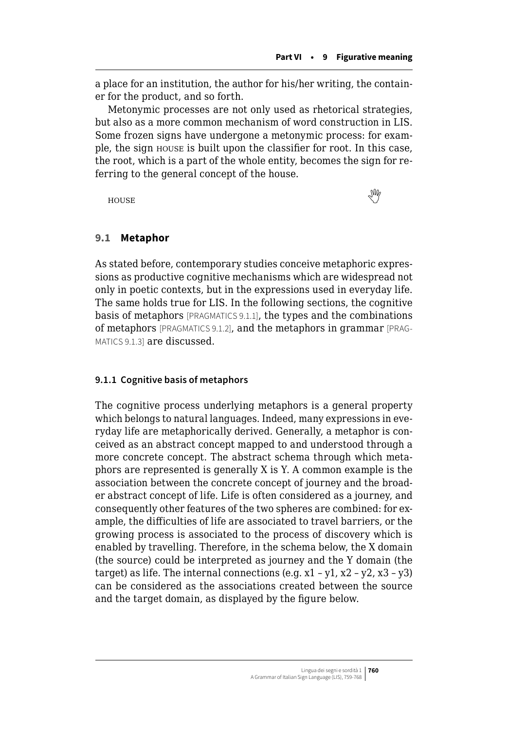<span id="page-1-0"></span>a place for an institution, the author for his/her writing, the container for the product, and so forth.

Metonymic processes are not only used as rhetorical strategies, but also as a more common mechanism of word construction in LIS. Some frozen signs have undergone a metonymic process: for example, the sign house is built upon the classifier for root. In this case, the root, which is a part of the whole entity, becomes the sign for referring to the general concept of the house.

house 

## **9.1 Metaphor**

As stated before, contemporary studies conceive metaphoric expressions as productive cognitive mechanisms which are widespread not only in poetic contexts, but in the expressions used in everyday life. The same holds true for LIS. In the following sections, the cognitive basis of metaphors [PRAGMATICS 9.1.1], the types and the combinations of metaphors [PRAGMATICS 9.1.2], and the metaphors in grammar [PRAG-MATICS 9.1.3] are discussed.

### **9.1.1 Cognitive basis of metaphors**

The cognitive process underlying metaphors is a general property which belongs to natural languages. Indeed, many expressions in everyday life are metaphorically derived. Generally, a metaphor is conceived as an abstract concept mapped to and understood through a more concrete concept. The abstract schema through which metaphors are represented is generally X is Y. A common example is the association between the concrete concept of journey and the broader abstract concept of life. Life is often considered as a journey, and consequently other features of the two spheres are combined: for example, the difficulties of life are associated to travel barriers, or the growing process is associated to the process of discovery which is enabled by travelling. Therefore, in the schema below, the X domain (the source) could be interpreted as journey and the Y domain (the target) as life. The internal connections (e.g.  $x1 - y1$ ,  $x2 - y2$ ,  $x3 - y3$ ) can be considered as the associations created between the source and the target domain, as displayed by the figure below.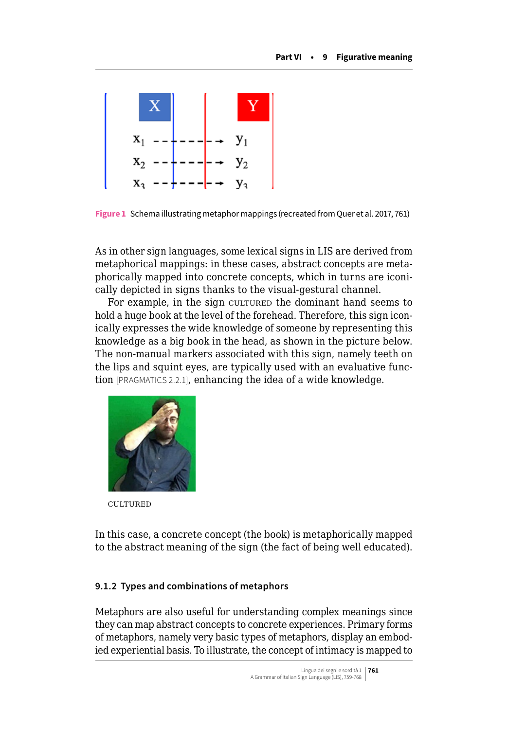

**Figure 1** Schema illustrating metaphor mappings (recreated from Quer et al. 2017, 761)

As in other sign languages, some lexical signs in LIS are derived from metaphorical mappings: in these cases, abstract concepts are metaphorically mapped into concrete concepts, which in turns are iconically depicted in signs thanks to the visual-gestural channel.

For example, in the sign culture the dominant hand seems to hold a huge book at the level of the forehead. Therefore, this sign iconically expresses the wide knowledge of someone by representing this knowledge as a big book in the head, as shown in the picture below. The non-manual markers associated with this sign, namely teeth on the lips and squint eyes, are typically used with an evaluative function [PRAGMATICS 2.2.1], enhancing the idea of a wide knowledge.



**CULTURED** 

In this case, a concrete concept (the book) is metaphorically mapped to the abstract meaning of the sign (the fact of being well educated).

## **9.1.2 Types and combinations of metaphors**

Metaphors are also useful for understanding complex meanings since they can map abstract concepts to concrete experiences. Primary forms of metaphors, namely very basic types of metaphors, display an embodied experiential basis. To illustrate, the concept of intimacy is mapped to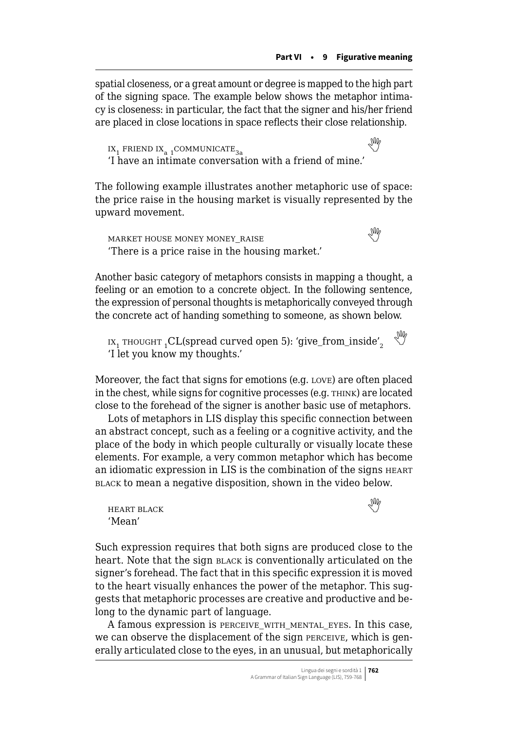spatial closeness, or a great amount or degree is mapped to the high part of the signing space. The example below shows the metaphor intimacy is closeness: in particular, the fact that the signer and his/her friend are placed in close locations in space reflects their close relationship.

IX<sub>1</sub>FRIEND IX<sub>a</sub> <sub>1</sub>COMMUNICATE<sub>3a</sub> 'I have an intimate conversation with a friend of mine.'

The following example illustrates another metaphoric use of space: the price raise in the housing market is visually represented by the upward movement.

market house money money\_raise  'There is a price raise in the housing market.'

Another basic category of metaphors consists in mapping a thought, a feeling or an emotion to a concrete object. In the following sentence, the expression of personal thoughts is metaphorically conveyed through the concrete act of handing something to someone, as shown below.

 $ix_1$   $r$  HOUGHT  $_1$ CL(spread curved open 5): 'give\_from\_inside', 'I let you know my thoughts.'

Moreover, the fact that signs for emotions (e.g. love) are often placed in the chest, while signs for cognitive processes (e.g. think) are located close to the forehead of the signer is another basic use of metaphors.

Lots of metaphors in LIS display this specific connection between an abstract concept, such as a feeling or a cognitive activity, and the place of the body in which people culturally or visually locate these elements. For example, a very common metaphor which has become an idiomatic expression in LIS is the combination of the signs heart black to mean a negative disposition, shown in the video below.

heartblack the control of the control of the control of the control of the control of the control of the control of the control of the control of the control of the control of the control of the control of the control of 'Mean'

Such expression requires that both signs are produced close to the heart. Note that the sign **BLACK** is conventionally articulated on the signer's forehead. The fact that in this specific expression it is moved to the heart visually enhances the power of the metaphor. This suggests that metaphoric processes are creative and productive and belong to the dynamic part of language.

A famous expression is perceive\_with\_mental\_eyes. In this case, we can observe the displacement of the sign perceive, which is generally articulated close to the eyes, in an unusual, but metaphorically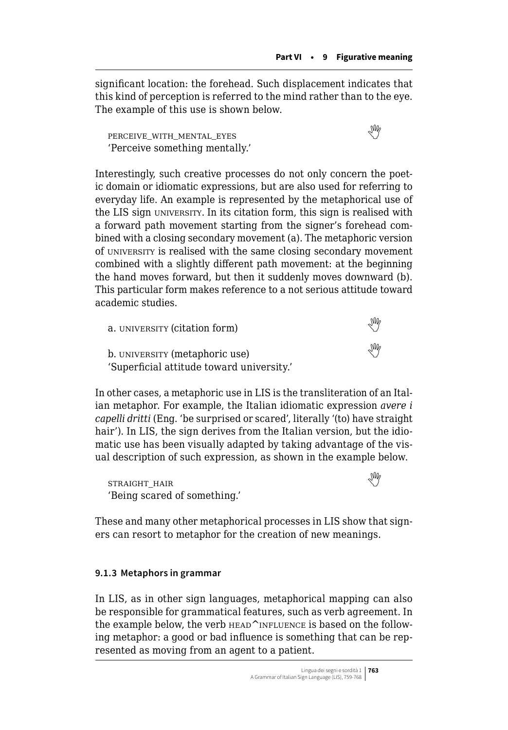significant location: the forehead. Such displacement indicates that this kind of perception is referred to the mind rather than to the eye. The example of this use is shown below.

 $PERCEIVE WITH MENTIAL EYES$  $PERCEIVE WITH MENTIAL EYES$  $PERCEIVE WITH MENTIAL EYES$ 'Perceive something mentally.'

Interestingly, such creative processes do not only concern the poetic domain or idiomatic expressions, but are also used for referring to everyday life. An example is represented by the metaphorical use of the LIS sign university. In its citation form, this sign is realised with a forward path movement starting from the signer's forehead combined with a closing secondary movement (a). The metaphoric version of university is realised with the same closing secondary movement combined with a slightly different path movement: at the beginning the hand moves forward, but then it suddenly moves downward (b). This particular form makes reference to a not serious attitude toward academic studies.

| a. UNIVERSITY (citation form)                                               | MZ  |
|-----------------------------------------------------------------------------|-----|
| b. UNIVERSITY (metaphoric use)<br>'Superficial attitude toward university.' | Ind |

In other cases, a metaphoric use in LIS is the transliteration of an Italian metaphor. For example, the Italian idiomatic expression *avere i capelli dritti* (Eng. 'be surprised or scared', literally '(to) have straight hair'). In LIS, the sign derives from the Italian version, but the idiomatic use has been visually adapted by taking advantage of the visual description of such expression, as shown in the example below.

STRAIGHT\_HAIR 'Being scared of something.'

These and many other metaphorical processes in LIS show that signers can resort to metaphor for the creation of new meanings.

## **9.1.3 Metaphors in grammar**

In LIS, as in other sign languages, metaphorical mapping can also be responsible for grammatical features, such as verb agreement. In the example below, the verb  $H$ EAD $^{\wedge}$ INFLUENCE is based on the following metaphor: a good or bad influence is something that can be represented as moving from an agent to a patient.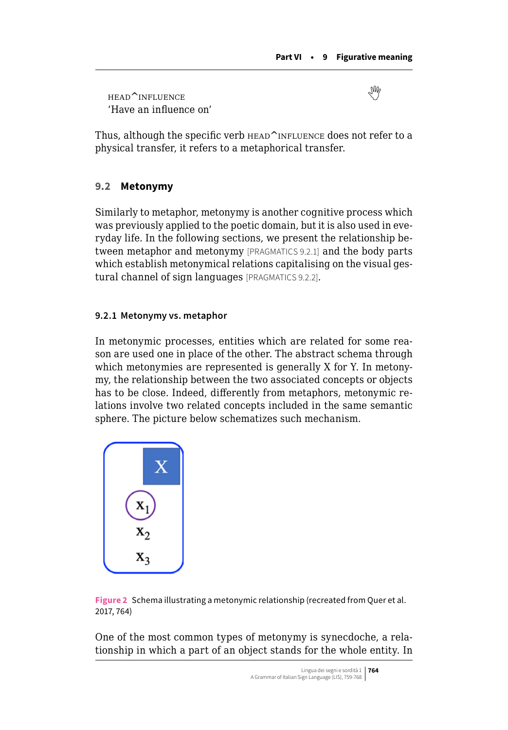<span id="page-5-0"></span>head^influence  'Have an influence on'

Thus, although the specific verb  $H$  HEAD<sup> $\sim$ </sup>INFLUENCE does not refer to a physical transfer, it refers to a metaphorical transfer.

## **9.2 Metonymy**

Similarly to metaphor, metonymy is another cognitive process which was previously applied to the poetic domain, but it is also used in everyday life. In the following sections, we present the relationship between metaphor and metonymy [PRAGMATICS 9.2.1] and the body parts which establish metonymical relations capitalising on the visual gestural channel of sign languages [PRAGMATICS 9.2.2].

## **9.2.1 Metonymy vs. metaphor**

In metonymic processes, entities which are related for some reason are used one in place of the other. The abstract schema through which metonymies are represented is generally X for Y. In metonymy, the relationship between the two associated concepts or objects has to be close. Indeed, differently from metaphors, metonymic relations involve two related concepts included in the same semantic sphere. The picture below schematizes such mechanism.



**Figure 2** Schema illustrating a metonymic relationship (recreated from Quer et al. 2017, 764)

One of the most common types of metonymy is synecdoche, a relationship in which a part of an object stands for the whole entity. In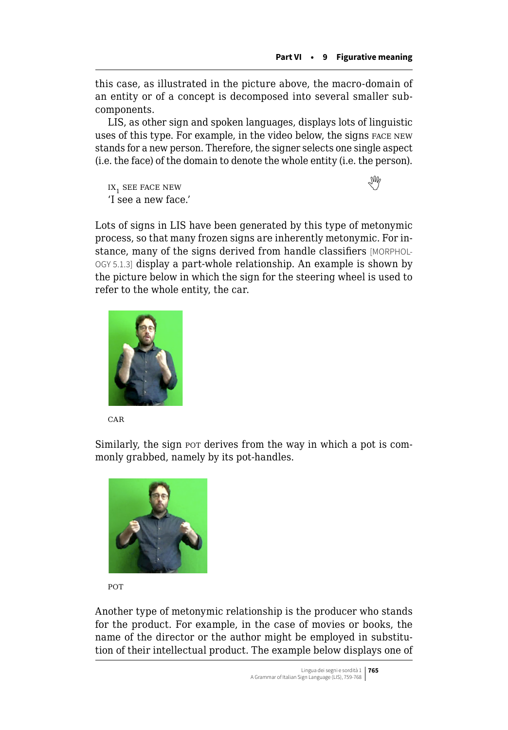this case, as illustrated in the picture above, the macro-domain of an entity or of a concept is decomposed into several smaller subcomponents.

LIS, as other sign and spoken languages, displays lots of linguistic uses of this type. For example, in the video below, the signs face new stands for a new person. Therefore, the signer selects one single aspect (i.e. the face) of the domain to denote the whole entity (i.e. the person).

 $IX<sub>1</sub>$ see face new 'I see a new face.'

Lots of signs in LIS have been generated by this type of metonymic process, so that many frozen signs are inherently metonymic. For instance, many of the signs derived from handle classifiers [MORPHOL-OGY 5.1.3] display a part-whole relationship. An example is shown by the picture below in which the sign for the steering wheel is used to refer to the whole entity, the car.



**CAR** 

Similarly, the sign pot derives from the way in which a pot is commonly grabbed, namely by its pot-handles.



**POT** 

Another type of metonymic relationship is the producer who stands for the product. For example, in the case of movies or books, the name of the director or the author might be employed in substitution of their intellectual product. The example below displays one of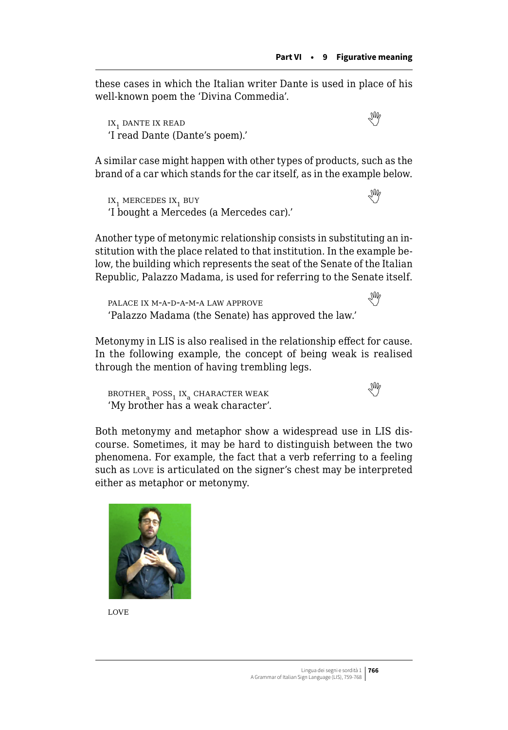these cases in which the Italian writer Dante is used in place of his well-known poem the 'Divina Commedia'.

IX,DANTE IX READ 'I read Dante (Dante's poem).'

A similar case might happen with other types of products, such as the brand of a car which stands for the car itself, as in the example below.

IX<sub>1</sub>MERCEDES IX<sub>1</sub> BUY 'I bought a Mercedes (a Mercedes car).'

Another type of metonymic relationship consists in substituting an institution with the place related to that institution. In the example below, the building which represents the seat of the Senate of the Italian Republic, Palazzo Madama, is used for referring to the Senate itself.

 $\begin{array}{c}\texttt{PALACE IX} \end{array} \begin{minipage}{.45\textwidth} \begin{subipage}{.45\textwidth} \centering \begin{subipage}{.45\textwidth} \centering \end{subipage} \end{minipage} \begin{minipage}{.45\textwidth} \centering \begin{subipage}{.45\textwidth} \centering \end{subipage} \end{minipage} \begin{minipage}{.45\textwidth} \centering \begin{subipage}{.45\textwidth} \centering \centering \end{subipage} \end{minipage} \begin{minipage}{.45\textwidth} \centering \begin{subipage}{.45\textwidth} \centering \centering \end$  $\begin{array}{c}\texttt{PALACE IX} \end{array} \begin{minipage}{.45\textwidth} \begin{subipage}{.45\textwidth} \centering \begin{subipage}{.45\textwidth} \centering \end{subipage} \end{minipage} \begin{minipage}{.45\textwidth} \centering \begin{subipage}{.45\textwidth} \centering \end{subipage} \end{minipage} \begin{minipage}{.45\textwidth} \centering \begin{subipage}{.45\textwidth} \centering \centering \end{subipage} \end{minipage} \begin{minipage}{.45\textwidth} \centering \begin{subipage}{.45\textwidth} \centering \centering \end$  $\begin{array}{c}\texttt{PALACE IX} \end{array} \begin{minipage}{.45\textwidth} \begin{subipage}{.45\textwidth} \centering \begin{subipage}{.45\textwidth} \centering \end{subipage} \end{minipage} \begin{minipage}{.45\textwidth} \centering \begin{subipage}{.45\textwidth} \centering \end{subipage} \end{minipage} \begin{minipage}{.45\textwidth} \centering \begin{subipage}{.45\textwidth} \centering \centering \end{subipage} \end{minipage} \begin{minipage}{.45\textwidth} \centering \begin{subipage}{.45\textwidth} \centering \centering \end$ 'Palazzo Madama (the Senate) has approved the law.'

Metonymy in LIS is also realised in the relationship effect for cause. In the following example, the concept of being weak is realised through the mention of having trembling legs.

 $BROTHER<sub>a</sub> POSS<sub>1</sub> IX<sub>a</sub> CHARACTER WEAK$  $BROTHER<sub>a</sub> POSS<sub>1</sub> IX<sub>a</sub> CHARACTER WEAK$  $BROTHER<sub>a</sub> POSS<sub>1</sub> IX<sub>a</sub> CHARACTER WEAK$ 'My brother has a weak character'.

Both metonymy and metaphor show a widespread use in LIS discourse. Sometimes, it may be hard to distinguish between the two phenomena. For example, the fact that a verb referring to a feeling such as love is articulated on the signer's chest may be interpreted either as metaphor or metonymy.





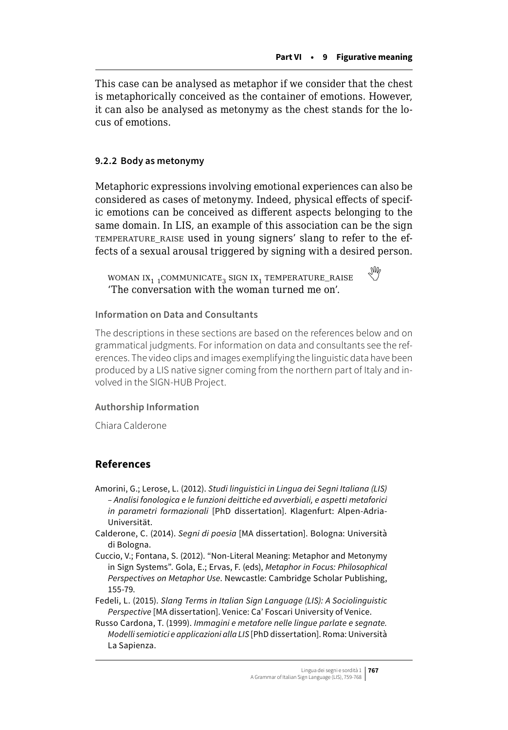This case can be analysed as metaphor if we consider that the chest is metaphorically conceived as the container of emotions. However, it can also be analysed as metonymy as the chest stands for the locus of emotions.

## **9.2.2 Body as metonymy**

Metaphoric expressions involving emotional experiences can also be considered as cases of metonymy. Indeed, physical effects of specific emotions can be conceived as different aspects belonging to the same domain. In LIS, an example of this association can be the sign temperature\_raise used in young signers' slang to refer to the effects of a sexual arousal triggered by signing with a desired person.

WOMAN IX<sub>1</sub> 1COMMUNICATE<sub>3</sub> SIGN IX<sub>1</sub> TEMPERATURE\_RAISE 'The conversation with the woman turned me on'.

## **Information on Data and Consultants**

The descriptions in these sections are based on the references below and on grammatical judgments. For information on data and consultants see the references. The video clips and images exemplifying the linguistic data have been produced by a LIS native signer coming from the northern part of Italy and involved in the SIGN-HUB Project.

## **Authorship Information**

Chiara Calderone

## **References**

Amorini, G.; Lerose, L. (2012). *Studi linguistici in Lingua dei Segni Italiana (LIS) – Analisi fonologica e le funzioni deittiche ed avverbiali, e aspetti metaforici in parametri formazionali* [PhD dissertation]. Klagenfurt: Alpen-Adria-Universität.

- Calderone, C. (2014). *Segni di poesia* [MA dissertation]. Bologna: Università di Bologna.
- Cuccio, V.; Fontana, S. (2012). "Non-Literal Meaning: Metaphor and Metonymy in Sign Systems". Gola, E.; Ervas, F. (eds), *Metaphor in Focus: Philosophical Perspectives on Metaphor Use*. Newcastle: Cambridge Scholar Publishing, 155-79.
- Fedeli, L. (2015). *Slang Terms in Italian Sign Language (LIS): A Sociolinguistic Perspective* [MA dissertation]. Venice: Ca' Foscari University of Venice.

Russo Cardona, T. (1999). *Immagini e metafore nelle lingue parlate e segnate. Modelli semiotici e applicazioni alla LIS* [PhD dissertation]. Roma: Università La Sapienza.